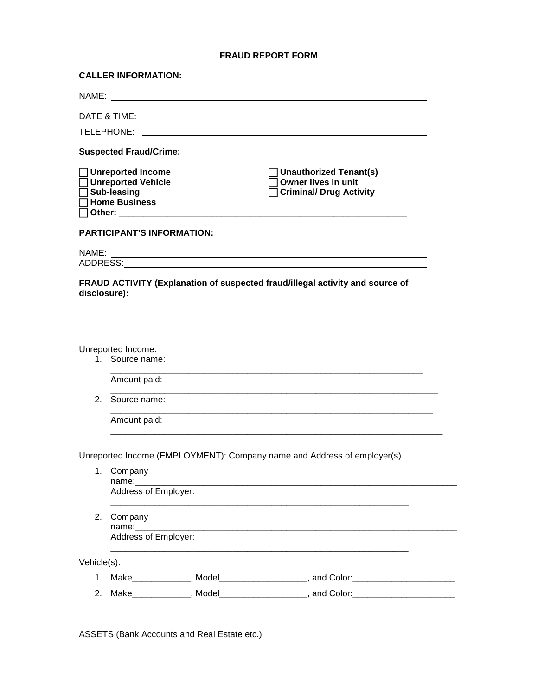## **FRAUD REPORT FORM**

|              | <b>CALLER INFORMATION:</b>                                                                                           |                                       |                                                                                                                        |  |  |
|--------------|----------------------------------------------------------------------------------------------------------------------|---------------------------------------|------------------------------------------------------------------------------------------------------------------------|--|--|
|              |                                                                                                                      |                                       |                                                                                                                        |  |  |
|              |                                                                                                                      |                                       |                                                                                                                        |  |  |
|              |                                                                                                                      |                                       |                                                                                                                        |  |  |
|              | <b>Suspected Fraud/Crime:</b>                                                                                        |                                       |                                                                                                                        |  |  |
|              | $\Box$ Unreported Income<br>□ Unreported Vehicle<br>$\overline{\Box}$ Sub-leasing<br>$\overline{\Box}$ Home Business | ◯ Other: ____________________________ | Unauthorized Tenant(s)<br>Owner lives in unit<br><b>Criminal/ Drug Activity</b>                                        |  |  |
|              | <b>PARTICIPANT'S INFORMATION:</b>                                                                                    |                                       |                                                                                                                        |  |  |
| NAME:        |                                                                                                                      |                                       | <u> 1989 - Johann Stoff, deutscher Stoffen und der Stoffen und der Stoffen und der Stoffen und der Stoffen und der</u> |  |  |
| disclosure): |                                                                                                                      |                                       | FRAUD ACTIVITY (Explanation of suspected fraud/illegal activity and source of                                          |  |  |
|              | Unreported Income:                                                                                                   |                                       |                                                                                                                        |  |  |
|              | 1. Source name:                                                                                                      |                                       |                                                                                                                        |  |  |
|              | Amount paid:                                                                                                         |                                       |                                                                                                                        |  |  |
|              | 2. Source name:                                                                                                      |                                       |                                                                                                                        |  |  |
|              | Amount paid:                                                                                                         |                                       |                                                                                                                        |  |  |
|              |                                                                                                                      |                                       | Unreported Income (EMPLOYMENT): Company name and Address of employer(s)                                                |  |  |
| 1.           | Company                                                                                                              |                                       |                                                                                                                        |  |  |
|              | name:<br>Address of Employer:                                                                                        |                                       |                                                                                                                        |  |  |
| 2.           | Company<br>name:__________                                                                                           |                                       |                                                                                                                        |  |  |
|              | Address of Employer:                                                                                                 |                                       |                                                                                                                        |  |  |
| Vehicle(s):  |                                                                                                                      |                                       |                                                                                                                        |  |  |
|              |                                                                                                                      |                                       | 1. Make____________, Model__________________, and Color:________________________                                       |  |  |
| 2.           |                                                                                                                      |                                       | Make_____________, Model_________________, and Color:________________                                                  |  |  |

ASSETS (Bank Accounts and Real Estate etc.)